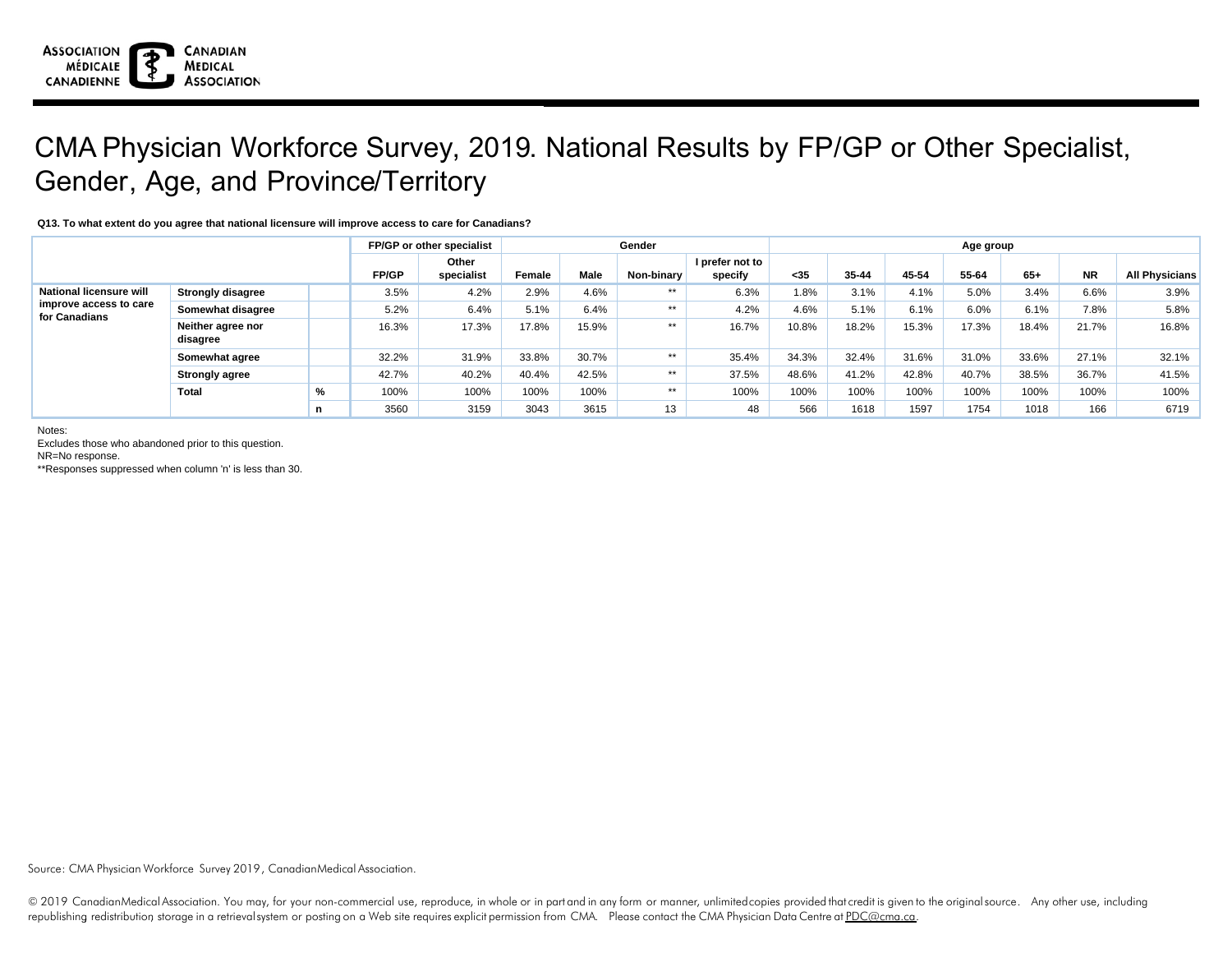

## CMA Physician Workforce Survey, 2019. National Results by FP/GP or Other Specialist, Gender, Age, and Province/Territory

**Q13. To what extent do you agree that national licensure will improve access to care for Canadians?**

|                                                                           |                               | FP/GP or other specialist |              |                     |        | Gender | Age group  |                            |       |       |       |       |       |           |                       |
|---------------------------------------------------------------------------|-------------------------------|---------------------------|--------------|---------------------|--------|--------|------------|----------------------------|-------|-------|-------|-------|-------|-----------|-----------------------|
|                                                                           |                               |                           | <b>FP/GP</b> | Other<br>specialist | Female | Male   | Non-binary | I prefer not to<br>specify | $35$  | 35-44 | 45-54 | 55-64 | $65+$ | <b>NR</b> | <b>All Physicians</b> |
| <b>National licensure will</b><br>improve access to care<br>for Canadians | <b>Strongly disagree</b>      |                           | 3.5%         | 4.2%                | 2.9%   | 4.6%   | $***$      | 6.3%                       | 1.8%  | 3.1%  | 4.1%  | 5.0%  | 3.4%  | 6.6%      | $3.9\%$               |
|                                                                           | Somewhat disagree             |                           | 5.2%         | 6.4%                | 5.1%   | 6.4%   | $***$      | 4.2%                       | 4.6%  | 5.1%  | 6.1%  | 6.0%  | 6.1%  | 7.8%      | 5.8%                  |
|                                                                           | Neither agree nor<br>disagree |                           | 16.3%        | 17.3%               | 17.8%  | 15.9%  | $***$      | 16.7%                      | 10.8% | 18.2% | 15.3% | 17.3% | 18.4% | 21.7%     | 16.8%                 |
|                                                                           | Somewhat agree                |                           | 32.2%        | 31.9%               | 33.8%  | 30.7%  | $***$      | 35.4%                      | 34.3% | 32.4% | 31.6% | 31.0% | 33.6% | 27.1%     | 32.1%                 |
|                                                                           | <b>Strongly agree</b>         |                           | 42.7%        | 40.2%               | 40.4%  | 42.5%  | $***$      | 37.5%                      | 48.6% | 41.2% | 42.8% | 40.7% | 38.5% | 36.7%     | 41.5%                 |
|                                                                           | Total                         | %                         | 100%         | 100%                | 100%   | 100%   | $***$      | 100%                       | 100%  | 100%  | 100%  | 100%  | 100%  | 100%      | 100%                  |
|                                                                           |                               | n                         | 3560         | 3159                | 3043   | 3615   | 13         | 48                         | 566   | 1618  | 1597  | 1754  | 1018  | 166       | 6719                  |

Notes:

Excludes those who abandoned prior to this question.

NR=No response.

\*\*Responses suppressed when column 'n' is less than 30.

Source: CMA Physician Workforce Survey 2019, CanadianMedical Association.